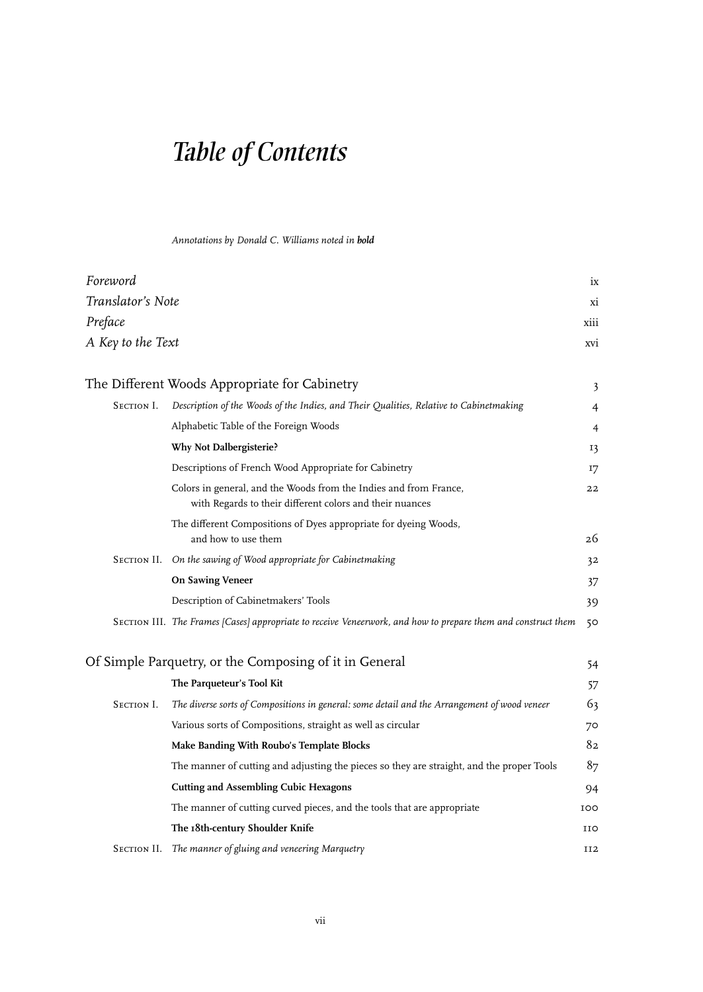## *Table of Contents*

 *Annotations by Donald C. Williams noted in bold*

| Foreword                                               |                                                                                                                               | ix              |
|--------------------------------------------------------|-------------------------------------------------------------------------------------------------------------------------------|-----------------|
| Translator's Note                                      |                                                                                                                               | хi              |
| Preface                                                |                                                                                                                               | xiii            |
| A Key to the Text                                      |                                                                                                                               | xvi             |
|                                                        |                                                                                                                               |                 |
| The Different Woods Appropriate for Cabinetry          |                                                                                                                               |                 |
| SECTION I.                                             | Description of the Woods of the Indies, and Their Qualities, Relative to Cabinetmaking                                        | 4               |
|                                                        | Alphabetic Table of the Foreign Woods                                                                                         | 4               |
|                                                        | <b>Why Not Dalbergisterie?</b>                                                                                                | 13              |
|                                                        | Descriptions of French Wood Appropriate for Cabinetry                                                                         | 17              |
|                                                        | Colors in general, and the Woods from the Indies and from France,<br>with Regards to their different colors and their nuances | 22              |
|                                                        | The different Compositions of Dyes appropriate for dyeing Woods,<br>and how to use them                                       | 26              |
|                                                        | SECTION II. On the sawing of Wood appropriate for Cabinetmaking                                                               | 32              |
|                                                        | <b>On Sawing Veneer</b>                                                                                                       | 37              |
|                                                        | Description of Cabinetmakers' Tools                                                                                           | 39              |
|                                                        | SECTION III. The Frames [Cases] appropriate to receive Veneerwork, and how to prepare them and construct them                 | 50              |
| Of Simple Parquetry, or the Composing of it in General |                                                                                                                               |                 |
|                                                        | The Parqueteur's Tool Kit                                                                                                     | 57              |
| SECTION I.                                             | The diverse sorts of Compositions in general: some detail and the Arrangement of wood veneer                                  | 63              |
|                                                        | Various sorts of Compositions, straight as well as circular                                                                   | 70              |
|                                                        | Make Banding With Roubo's Template Blocks                                                                                     | 82              |
|                                                        | The manner of cutting and adjusting the pieces so they are straight, and the proper Tools                                     | 8 <sub>7</sub>  |
|                                                        | <b>Cutting and Assembling Cubic Hexagons</b>                                                                                  | 94              |
|                                                        | The manner of cutting curved pieces, and the tools that are appropriate                                                       | <b>IOO</b>      |
|                                                        | The 18th-century Shoulder Knife                                                                                               | IIO             |
| SECTION II.                                            | The manner of gluing and veneering Marquetry                                                                                  | II <sub>2</sub> |